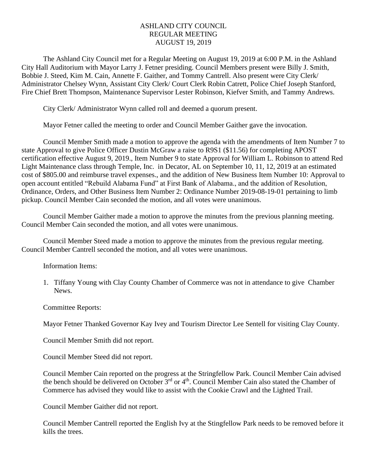## ASHLAND CITY COUNCIL REGULAR MEETING AUGUST 19, 2019

The Ashland City Council met for a Regular Meeting on August 19, 2019 at 6:00 P.M. in the Ashland City Hall Auditorium with Mayor Larry J. Fetner presiding. Council Members present were Billy J. Smith, Bobbie J. Steed, Kim M. Cain, Annette F. Gaither, and Tommy Cantrell. Also present were City Clerk/ Administrator Chelsey Wynn, Assistant City Clerk/ Court Clerk Robin Catrett, Police Chief Joseph Stanford, Fire Chief Brett Thompson, Maintenance Supervisor Lester Robinson, Kiefver Smith, and Tammy Andrews.

City Clerk/ Administrator Wynn called roll and deemed a quorum present.

Mayor Fetner called the meeting to order and Council Member Gaither gave the invocation.

Council Member Smith made a motion to approve the agenda with the amendments of Item Number 7 to state Approval to give Police Officer Dustin McGraw a raise to R9S1 (\$11.56) for completing APOST certification effective August 9, 2019., Item Number 9 to state Approval for William L. Robinson to attend Red Light Maintenance class through Temple, Inc. in Decator, AL on September 10, 11, 12, 2019 at an estimated cost of \$805.00 and reimburse travel expenses., and the addition of New Business Item Number 10: Approval to open account entitled "Rebuild Alabama Fund" at First Bank of Alabama., and the addition of Resolution, Ordinance, Orders, and Other Business Item Number 2: Ordinance Number 2019-08-19-01 pertaining to limb pickup. Council Member Cain seconded the motion, and all votes were unanimous.

Council Member Gaither made a motion to approve the minutes from the previous planning meeting. Council Member Cain seconded the motion, and all votes were unanimous.

Council Member Steed made a motion to approve the minutes from the previous regular meeting. Council Member Cantrell seconded the motion, and all votes were unanimous.

Information Items:

1. Tiffany Young with Clay County Chamber of Commerce was not in attendance to give Chamber News.

Committee Reports:

Mayor Fetner Thanked Governor Kay Ivey and Tourism Director Lee Sentell for visiting Clay County.

Council Member Smith did not report.

Council Member Steed did not report.

Council Member Cain reported on the progress at the Stringfellow Park. Council Member Cain advised the bench should be delivered on October 3<sup>rd</sup> or 4<sup>th</sup>. Council Member Cain also stated the Chamber of Commerce has advised they would like to assist with the Cookie Crawl and the Lighted Trail.

Council Member Gaither did not report.

Council Member Cantrell reported the English Ivy at the Stingfellow Park needs to be removed before it kills the trees.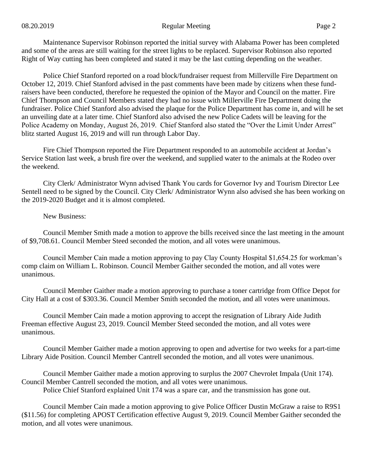Maintenance Supervisor Robinson reported the initial survey with Alabama Power has been completed and some of the areas are still waiting for the street lights to be replaced. Supervisor Robinson also reported Right of Way cutting has been completed and stated it may be the last cutting depending on the weather.

Police Chief Stanford reported on a road block/fundraiser request from Millerville Fire Department on October 12, 2019. Chief Stanford advised in the past comments have been made by citizens when these fundraisers have been conducted, therefore he requested the opinion of the Mayor and Council on the matter. Fire Chief Thompson and Council Members stated they had no issue with Millerville Fire Department doing the fundraiser. Police Chief Stanford also advised the plaque for the Police Department has come in, and will he set an unveiling date at a later time. Chief Stanford also advised the new Police Cadets will be leaving for the Police Academy on Monday, August 26, 2019. Chief Stanford also stated the "Over the Limit Under Arrest" blitz started August 16, 2019 and will run through Labor Day.

Fire Chief Thompson reported the Fire Department responded to an automobile accident at Jordan's Service Station last week, a brush fire over the weekend, and supplied water to the animals at the Rodeo over the weekend.

City Clerk/ Administrator Wynn advised Thank You cards for Governor Ivy and Tourism Director Lee Sentell need to be signed by the Council. City Clerk/ Administrator Wynn also advised she has been working on the 2019-2020 Budget and it is almost completed.

## New Business:

Council Member Smith made a motion to approve the bills received since the last meeting in the amount of \$9,708.61. Council Member Steed seconded the motion, and all votes were unanimous.

Council Member Cain made a motion approving to pay Clay County Hospital \$1,654.25 for workman's comp claim on William L. Robinson. Council Member Gaither seconded the motion, and all votes were unanimous.

Council Member Gaither made a motion approving to purchase a toner cartridge from Office Depot for City Hall at a cost of \$303.36. Council Member Smith seconded the motion, and all votes were unanimous.

Council Member Cain made a motion approving to accept the resignation of Library Aide Judith Freeman effective August 23, 2019. Council Member Steed seconded the motion, and all votes were unanimous.

Council Member Gaither made a motion approving to open and advertise for two weeks for a part-time Library Aide Position. Council Member Cantrell seconded the motion, and all votes were unanimous.

Council Member Gaither made a motion approving to surplus the 2007 Chevrolet Impala (Unit 174). Council Member Cantrell seconded the motion, and all votes were unanimous.

Police Chief Stanford explained Unit 174 was a spare car, and the transmission has gone out.

Council Member Cain made a motion approving to give Police Officer Dustin McGraw a raise to R9S1 (\$11.56) for completing APOST Certification effective August 9, 2019. Council Member Gaither seconded the motion, and all votes were unanimous.